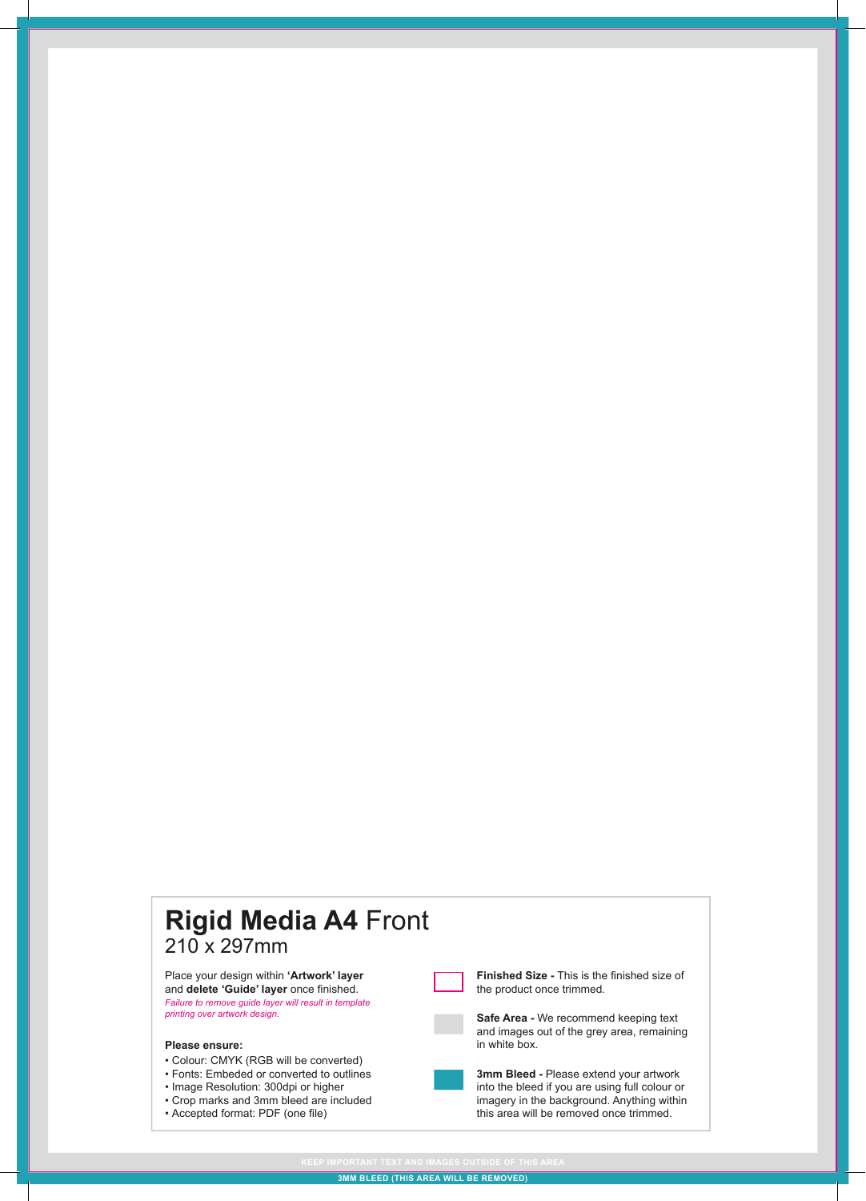## **Rigid Media A4** Front 210 x 297mm

Place your design within **'Artwork' layer** and **delete 'Guide' layer** once finished. *Failure to remove guide layer will result in template printing over artwork design.*

## **Please ensure:**

- Colour: CMYK (RGB will be converted)
- Fonts: Embeded or converted to outlines
- Image Resolution: 300dpi or higher
- Crop marks and 3mm bleed are included
- Accepted format: PDF (one file)



**3mm Bleed -** Please extend your artwork into the bleed if you are using full colour or imagery in the background. Anything within this area will be removed once trimmed.

**Finished Size -** This is the finished size of

the product once trimmed.

**3MM BLEED (THIS AREA WILL BE REMOVED)**